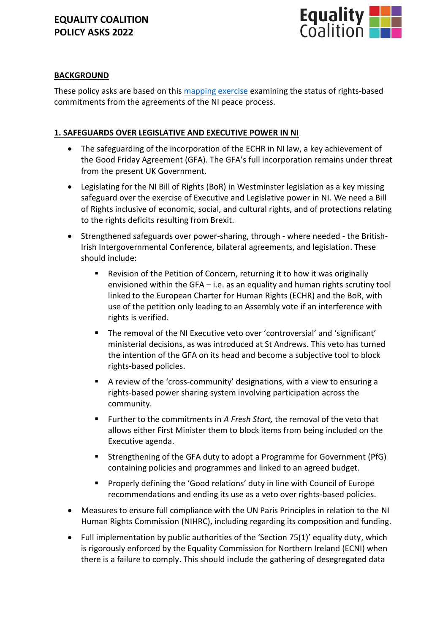

# **BACKGROUND**

These policy asks are based on this [mapping exercise](https://caj.org.uk/2021/04/09/a-mapping-exercise-mar-21/) examining the status of rights-based commitments from the agreements of the NI peace process.

# **1. SAFEGUARDS OVER LEGISLATIVE AND EXECUTIVE POWER IN NI**

- The safeguarding of the incorporation of the ECHR in NI law, a key achievement of the Good Friday Agreement (GFA). The GFA's full incorporation remains under threat from the present UK Government.
- Legislating for the NI Bill of Rights (BoR) in Westminster legislation as a key missing safeguard over the exercise of Executive and Legislative power in NI. We need a Bill of Rights inclusive of economic, social, and cultural rights, and of protections relating to the rights deficits resulting from Brexit.
- Strengthened safeguards over power-sharing, through where needed the British-Irish Intergovernmental Conference, bilateral agreements, and legislation. These should include:
	- Revision of the Petition of Concern, returning it to how it was originally envisioned within the GFA – i.e. as an equality and human rights scrutiny tool linked to the European Charter for Human Rights (ECHR) and the BoR, with use of the petition only leading to an Assembly vote if an interference with rights is verified.
	- The removal of the NI Executive veto over 'controversial' and 'significant' ministerial decisions, as was introduced at St Andrews. This veto has turned the intention of the GFA on its head and become a subjective tool to block rights-based policies.
	- A review of the 'cross-community' designations, with a view to ensuring a rights-based power sharing system involving participation across the community.
	- Further to the commitments in *A Fresh Start*, the removal of the veto that allows either First Minister them to block items from being included on the Executive agenda.
	- Strengthening of the GFA duty to adopt a Programme for Government (PfG) containing policies and programmes and linked to an agreed budget.
	- Properly defining the 'Good relations' duty in line with Council of Europe recommendations and ending its use as a veto over rights-based policies.
- Measures to ensure full compliance with the UN Paris Principles in relation to the NI Human Rights Commission (NIHRC), including regarding its composition and funding.
- Full implementation by public authorities of the 'Section 75(1)' equality duty, which is rigorously enforced by the Equality Commission for Northern Ireland (ECNI) when there is a failure to comply. This should include the gathering of desegregated data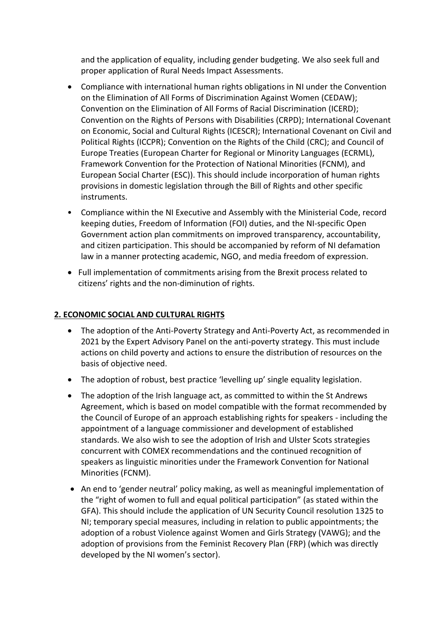and the application of equality, including gender budgeting. We also seek full and proper application of Rural Needs Impact Assessments.

- Compliance with international human rights obligations in NI under the Convention on the Elimination of All Forms of Discrimination Against Women (CEDAW); Convention on the Elimination of All Forms of Racial Discrimination (ICERD); Convention on the Rights of Persons with Disabilities (CRPD); International Covenant on Economic, Social and Cultural Rights (ICESCR); International Covenant on Civil and Political Rights (ICCPR); Convention on the Rights of the Child (CRC); and Council of Europe Treaties (European Charter for Regional or Minority Languages (ECRML), Framework Convention for the Protection of National Minorities (FCNM), and European Social Charter (ESC)). This should include incorporation of human rights provisions in domestic legislation through the Bill of Rights and other specific instruments.
- Compliance within the NI Executive and Assembly with the Ministerial Code, record keeping duties, Freedom of Information (FOI) duties, and the NI-specific Open Government action plan commitments on improved transparency, accountability, and citizen participation. This should be accompanied by reform of NI defamation law in a manner protecting academic, NGO, and media freedom of expression.
- Full implementation of commitments arising from the Brexit process related to citizens' rights and the non-diminution of rights.

### **2. ECONOMIC SOCIAL AND CULTURAL RIGHTS**

- The adoption of the Anti-Poverty Strategy and Anti-Poverty Act, as recommended in 2021 by the Expert Advisory Panel on the anti-poverty strategy. This must include actions on child poverty and actions to ensure the distribution of resources on the basis of objective need.
- The adoption of robust, best practice 'levelling up' single equality legislation.
- The adoption of the Irish language act, as committed to within the St Andrews Agreement, which is based on model compatible with the format recommended by the Council of Europe of an approach establishing rights for speakers - including the appointment of a language commissioner and development of established standards. We also wish to see the adoption of Irish and Ulster Scots strategies concurrent with COMEX recommendations and the continued recognition of speakers as linguistic minorities under the Framework Convention for National Minorities (FCNM).
- An end to 'gender neutral' policy making, as well as meaningful implementation of the "right of women to full and equal political participation" (as stated within the GFA). This should include the application of UN Security Council resolution 1325 to NI; temporary special measures, including in relation to public appointments; the adoption of a robust Violence against Women and Girls Strategy (VAWG); and the adoption of provisions from the Feminist Recovery Plan (FRP) (which was directly developed by the NI women's sector).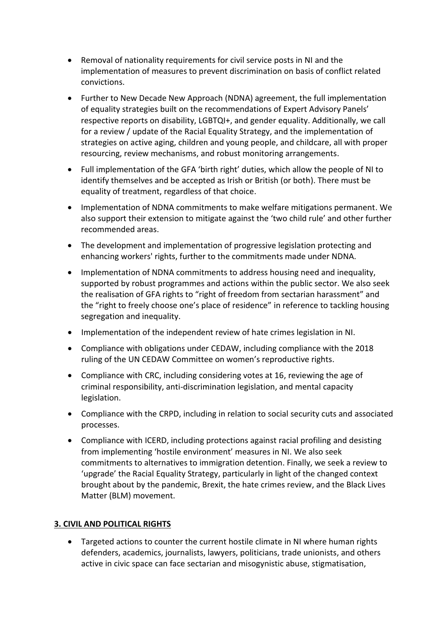- Removal of nationality requirements for civil service posts in NI and the implementation of measures to prevent discrimination on basis of conflict related convictions.
- Further to New Decade New Approach (NDNA) agreement, the full implementation of equality strategies built on the recommendations of Expert Advisory Panels' respective reports on disability, LGBTQI+, and gender equality. Additionally, we call for a review / update of the Racial Equality Strategy, and the implementation of strategies on active aging, children and young people, and childcare, all with proper resourcing, review mechanisms, and robust monitoring arrangements.
- Full implementation of the GFA 'birth right' duties, which allow the people of NI to identify themselves and be accepted as Irish or British (or both). There must be equality of treatment, regardless of that choice.
- Implementation of NDNA commitments to make welfare mitigations permanent. We also support their extension to mitigate against the 'two child rule' and other further recommended areas.
- The development and implementation of progressive legislation protecting and enhancing workers' rights, further to the commitments made under NDNA.
- Implementation of NDNA commitments to address housing need and inequality, supported by robust programmes and actions within the public sector. We also seek the realisation of GFA rights to "right of freedom from sectarian harassment" and the "right to freely choose one's place of residence" in reference to tackling housing segregation and inequality.
- Implementation of the independent review of hate crimes legislation in NI.
- Compliance with obligations under CEDAW, including compliance with the 2018 ruling of the UN CEDAW Committee on women's reproductive rights.
- Compliance with CRC, including considering votes at 16, reviewing the age of criminal responsibility, anti-discrimination legislation, and mental capacity legislation.
- Compliance with the CRPD, including in relation to social security cuts and associated processes.
- Compliance with ICERD, including protections against racial profiling and desisting from implementing 'hostile environment' measures in NI. We also seek commitments to alternatives to immigration detention. Finally, we seek a review to 'upgrade' the Racial Equality Strategy, particularly in light of the changed context brought about by the pandemic, Brexit, the hate crimes review, and the Black Lives Matter (BLM) movement.

### **3. CIVIL AND POLITICAL RIGHTS**

• Targeted actions to counter the current hostile climate in NI where human rights defenders, academics, journalists, lawyers, politicians, trade unionists, and others active in civic space can face sectarian and misogynistic abuse, stigmatisation,